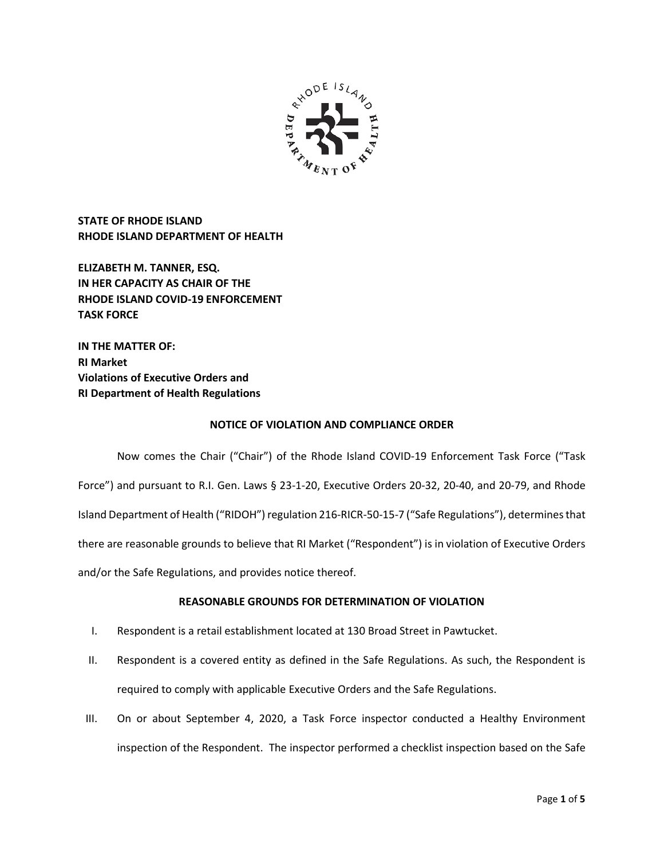

**STATE OF RHODE ISLAND RHODE ISLAND DEPARTMENT OF HEALTH**

**ELIZABETH M. TANNER, ESQ. IN HER CAPACITY AS CHAIR OF THE RHODE ISLAND COVID-19 ENFORCEMENT TASK FORCE** 

**IN THE MATTER OF: RI Market Violations of Executive Orders and RI Department of Health Regulations**

### **NOTICE OF VIOLATION AND COMPLIANCE ORDER**

Now comes the Chair ("Chair") of the Rhode Island COVID-19 Enforcement Task Force ("Task Force") and pursuant to R.I. Gen. Laws § 23-1-20, Executive Orders 20-32, 20-40, and 20-79, and Rhode Island Department of Health ("RIDOH") regulation 216-RICR-50-15-7 ("Safe Regulations"), determines that there are reasonable grounds to believe that RI Market ("Respondent") is in violation of Executive Orders and/or the Safe Regulations, and provides notice thereof.

# **REASONABLE GROUNDS FOR DETERMINATION OF VIOLATION**

- I. Respondent is a retail establishment located at 130 Broad Street in Pawtucket.
- II. Respondent is a covered entity as defined in the Safe Regulations. As such, the Respondent is required to comply with applicable Executive Orders and the Safe Regulations.
- III. On or about September 4, 2020, a Task Force inspector conducted a Healthy Environment inspection of the Respondent. The inspector performed a checklist inspection based on the Safe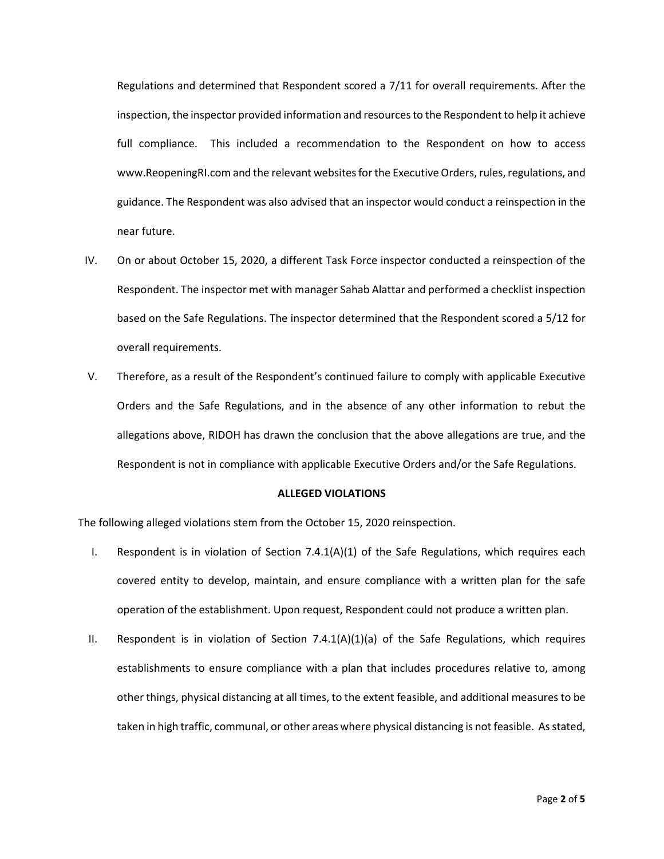Regulations and determined that Respondent scored a 7/11 for overall requirements. After the inspection, the inspector provided information and resources to the Respondent to help it achieve full compliance. This included a recommendation to the Respondent on how to access www.ReopeningRI.com and the relevant websites for the Executive Orders, rules, regulations, and guidance. The Respondent was also advised that an inspector would conduct a reinspection in the near future.

- IV. On or about October 15, 2020, a different Task Force inspector conducted a reinspection of the Respondent. The inspector met with manager Sahab Alattar and performed a checklist inspection based on the Safe Regulations. The inspector determined that the Respondent scored a 5/12 for overall requirements.
- V. Therefore, as a result of the Respondent's continued failure to comply with applicable Executive Orders and the Safe Regulations, and in the absence of any other information to rebut the allegations above, RIDOH has drawn the conclusion that the above allegations are true, and the Respondent is not in compliance with applicable Executive Orders and/or the Safe Regulations.

### **ALLEGED VIOLATIONS**

The following alleged violations stem from the October 15, 2020 reinspection.

- I. Respondent is in violation of Section  $7.4.1(A)(1)$  of the Safe Regulations, which requires each covered entity to develop, maintain, and ensure compliance with a written plan for the safe operation of the establishment. Upon request, Respondent could not produce a written plan.
- II. Respondent is in violation of Section 7.4.1(A)(1)(a) of the Safe Regulations, which requires establishments to ensure compliance with a plan that includes procedures relative to, among other things, physical distancing at all times, to the extent feasible, and additional measures to be taken in high traffic, communal, or other areas where physical distancing is not feasible. As stated,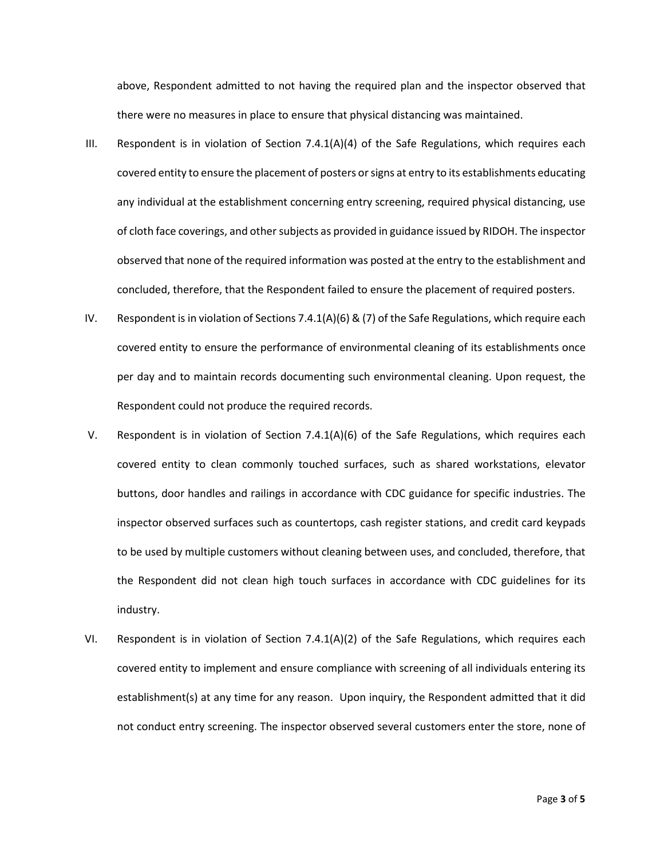above, Respondent admitted to not having the required plan and the inspector observed that there were no measures in place to ensure that physical distancing was maintained.

- III. Respondent is in violation of Section 7.4.1(A)(4) of the Safe Regulations, which requires each covered entity to ensure the placement of posters or signs at entry to its establishments educating any individual at the establishment concerning entry screening, required physical distancing, use of cloth face coverings, and other subjects as provided in guidance issued by RIDOH. The inspector observed that none of the required information was posted at the entry to the establishment and concluded, therefore, that the Respondent failed to ensure the placement of required posters.
- IV. Respondent is in violation of Sections 7.4.1(A)(6) & (7) of the Safe Regulations, which require each covered entity to ensure the performance of environmental cleaning of its establishments once per day and to maintain records documenting such environmental cleaning. Upon request, the Respondent could not produce the required records.
- V. Respondent is in violation of Section 7.4.1(A)(6) of the Safe Regulations, which requires each covered entity to clean commonly touched surfaces, such as shared workstations, elevator buttons, door handles and railings in accordance with CDC guidance for specific industries. The inspector observed surfaces such as countertops, cash register stations, and credit card keypads to be used by multiple customers without cleaning between uses, and concluded, therefore, that the Respondent did not clean high touch surfaces in accordance with CDC guidelines for its industry.
- VI. Respondent is in violation of Section 7.4.1(A)(2) of the Safe Regulations, which requires each covered entity to implement and ensure compliance with screening of all individuals entering its establishment(s) at any time for any reason. Upon inquiry, the Respondent admitted that it did not conduct entry screening. The inspector observed several customers enter the store, none of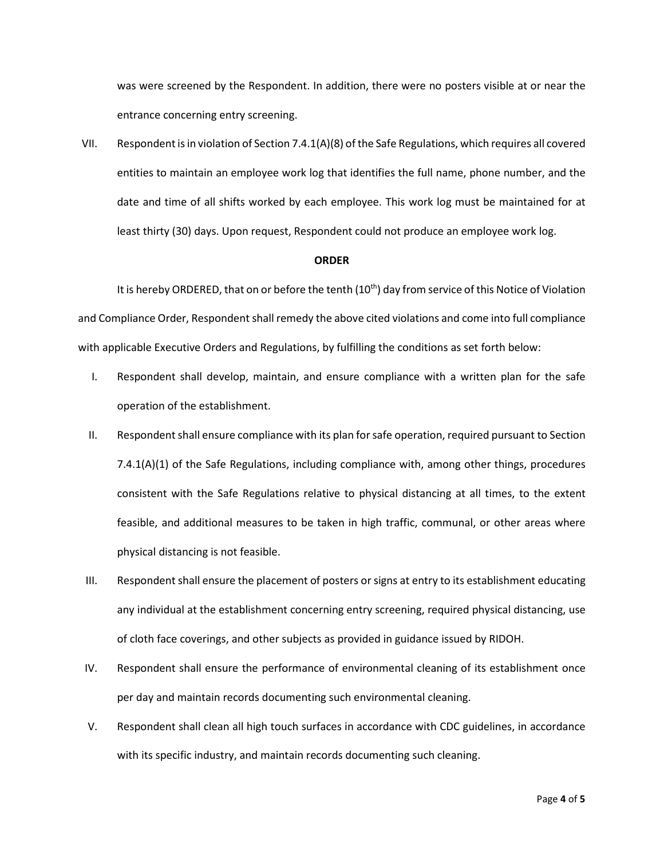was were screened by the Respondent. In addition, there were no posters visible at or near the entrance concerning entry screening.

VII. Respondent is in violation of Section 7.4.1(A)(8) of the Safe Regulations, which requires all covered entities to maintain an employee work log that identifies the full name, phone number, and the date and time of all shifts worked by each employee. This work log must be maintained for at least thirty (30) days. Upon request, Respondent could not produce an employee work log.

#### **ORDER**

It is hereby ORDERED, that on or before the tenth (10<sup>th</sup>) day from service of this Notice of Violation and Compliance Order, Respondent shall remedy the above cited violations and come into full compliance with applicable Executive Orders and Regulations, by fulfilling the conditions as set forth below:

- I. Respondent shall develop, maintain, and ensure compliance with a written plan for the safe operation of the establishment.
- II. Respondent shall ensure compliance with its plan for safe operation, required pursuant to Section 7.4.1(A)(1) of the Safe Regulations, including compliance with, among other things, procedures consistent with the Safe Regulations relative to physical distancing at all times, to the extent feasible, and additional measures to be taken in high traffic, communal, or other areas where physical distancing is not feasible.
- III. Respondent shall ensure the placement of posters or signs at entry to its establishment educating any individual at the establishment concerning entry screening, required physical distancing, use of cloth face coverings, and other subjects as provided in guidance issued by RIDOH.
- IV. Respondent shall ensure the performance of environmental cleaning of its establishment once per day and maintain records documenting such environmental cleaning.
- V. Respondent shall clean all high touch surfaces in accordance with CDC guidelines, in accordance with its specific industry, and maintain records documenting such cleaning.